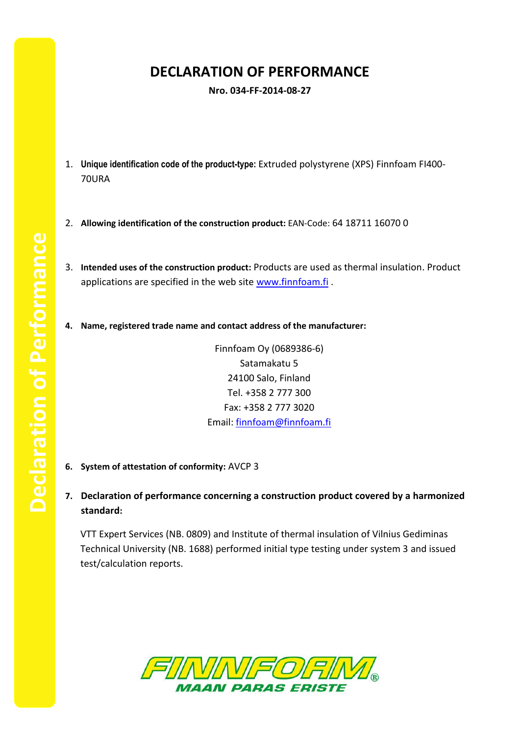## **DECLARATION OF PERFORMANCE**

**Nro. 034-FF-2014-08-27**

- 1. **Unique identification code of the product-type:** Extruded polystyrene (XPS) Finnfoam FI400- 70URA
- 2. **Allowing identification of the construction product:** EAN-Code: 64 18711 16070 0
- 3. **Intended uses of the construction product:** Products are used as thermal insulation. Product applications are specified in the web site [www.finnfoam.fi](http://www.finnfoam.fi/).
- **4. Name, registered trade name and contact address of the manufacturer:**

Finnfoam Oy (0689386-6) Satamakatu 5 24100 Salo, Finland Tel. +358 2 777 300 Fax: +358 2 777 3020 Email: [finnfoam@finnfoam.fi](mailto:finnfoam@finnfoam.fi)

- **6. System of attestation of conformity:** AVCP 3
- **7. Declaration of performance concerning a construction product covered by a harmonized standard:**

VTT Expert Services (NB. 0809) and Institute of thermal insulation of Vilnius Gediminas Technical University (NB. 1688) performed initial type testing under system 3 and issued test/calculation reports.